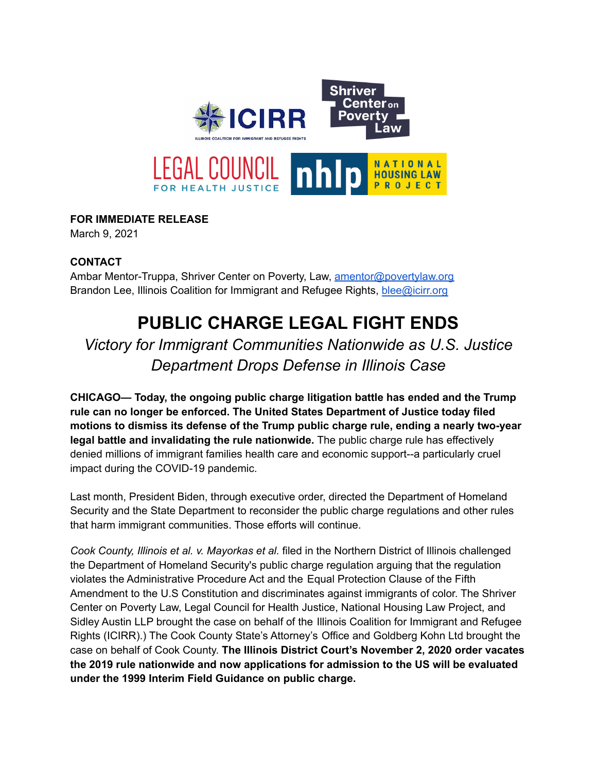

## **FOR IMMEDIATE RELEASE**

March 9, 2021

## **CONTACT**

Ambar Mentor-Truppa, Shriver Center on Poverty, Law, [amentor@povertylaw.org](mailto:amentor@povertylaw.org) Brandon Lee, Illinois Coalition for Immigrant and Refugee Rights, [blee@icirr.org](mailto:blee@icirr.org)

## **PUBLIC CHARGE LEGAL FIGHT ENDS**

*Victory for Immigrant Communities Nationwide as U.S. Justice Department Drops Defense in Illinois Case*

**CHICAGO— Today, the ongoing public charge litigation battle has ended and the Trump rule can no longer be enforced. The United States Department of Justice today filed motions to dismiss its defense of the Trump public charge rule, ending a nearly two-year legal battle and invalidating the rule nationwide.** The public charge rule has effectively denied millions of immigrant families health care and economic support--a particularly cruel impact during the COVID-19 pandemic.

Last month, President Biden, through executive order, directed the Department of Homeland Security and the State Department to reconsider the public charge regulations and other rules that harm immigrant communities. Those efforts will continue.

*Cook County, Illinois et al. v. Mayorkas et al.* filed in the Northern District of Illinois challenged the Department of Homeland Security's public charge regulation arguing that the regulation violates the Administrative Procedure Act and the Equal Protection Clause of the Fifth Amendment to the U.S Constitution and discriminates against immigrants of color. The Shriver Center on Poverty Law, Legal Council for Health Justice, National Housing Law Project, and Sidley Austin LLP brought the case on behalf of the Illinois Coalition for Immigrant and Refugee Rights (ICIRR).) The Cook County State's Attorney's Office and Goldberg Kohn Ltd brought the case on behalf of Cook County. **The Illinois District Court's November 2, 2020 order vacates the 2019 rule nationwide and now applications for admission to the US will be evaluated under the 1999 Interim Field Guidance on public charge.**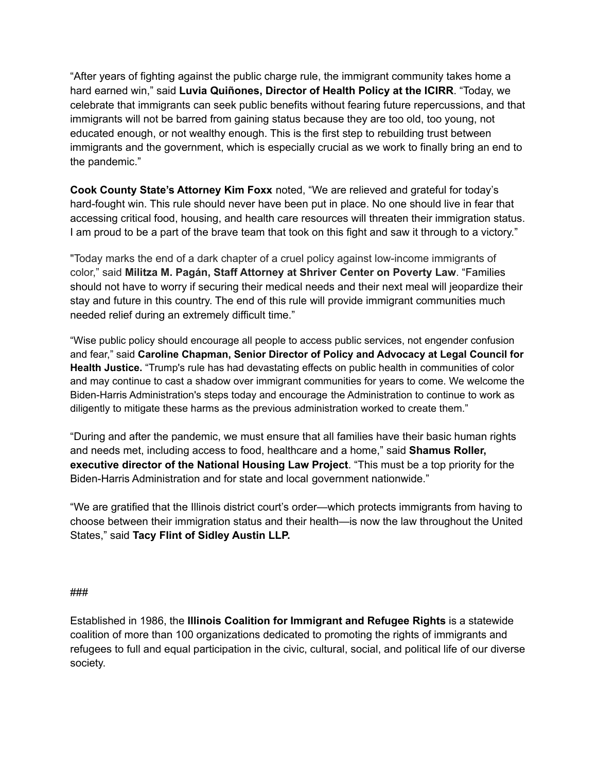"After years of fighting against the public charge rule, the immigrant community takes home a hard earned win," said **Luvia Quiñones, Director of Health Policy at the ICIRR**. "Today, we celebrate that immigrants can seek public benefits without fearing future repercussions, and that immigrants will not be barred from gaining status because they are too old, too young, not educated enough, or not wealthy enough. This is the first step to rebuilding trust between immigrants and the government, which is especially crucial as we work to finally bring an end to the pandemic."

**Cook County State's Attorney Kim Foxx** noted, "We are relieved and grateful for today's hard-fought win. This rule should never have been put in place. No one should live in fear that accessing critical food, housing, and health care resources will threaten their immigration status. I am proud to be a part of the brave team that took on this fight and saw it through to a victory."

"Today marks the end of a dark chapter of a cruel policy against low-income immigrants of color," said **Militza M. Pagán, Staff Attorney at Shriver Center on Poverty Law**. "Families should not have to worry if securing their medical needs and their next meal will jeopardize their stay and future in this country. The end of this rule will provide immigrant communities much needed relief during an extremely difficult time."

"Wise public policy should encourage all people to access public services, not engender confusion and fear," said **Caroline Chapman, Senior Director of Policy and Advocacy at Legal Council for Health Justice.** "Trump's rule has had devastating effects on public health in communities of color and may continue to cast a shadow over immigrant communities for years to come. We welcome the Biden-Harris Administration's steps today and encourage the Administration to continue to work as diligently to mitigate these harms as the previous administration worked to create them."

"During and after the pandemic, we must ensure that all families have their basic human rights and needs met, including access to food, healthcare and a home," said **Shamus Roller, executive director of the National Housing Law Project**. "This must be a top priority for the Biden-Harris Administration and for state and local government nationwide."

"We are gratified that the Illinois district court's order—which protects immigrants from having to choose between their immigration status and their health—is now the law throughout the United States," said **Tacy Flint of Sidley Austin LLP.**

## ###

Established in 1986, the **Illinois Coalition for Immigrant and Refugee Rights** is a statewide coalition of more than 100 organizations dedicated to promoting the rights of immigrants and refugees to full and equal participation in the civic, cultural, social, and political life of our diverse society.